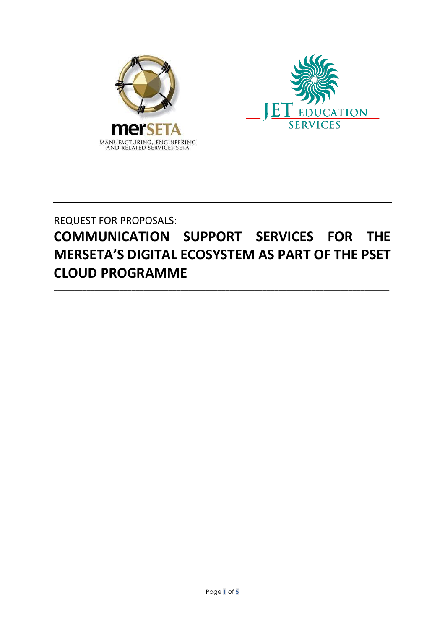



REQUEST FOR PROPOSALS:

# **COMMUNICATION SUPPORT SERVICES FOR THE MERSETA'S DIGITAL ECOSYSTEM AS PART OF THE PSET CLOUD PROGRAMME**

\_\_\_\_\_\_\_\_\_\_\_\_\_\_\_\_\_\_\_\_\_\_\_\_\_\_\_\_\_\_\_\_\_\_\_\_\_\_\_\_\_\_\_\_\_\_\_\_\_\_\_\_\_\_\_\_\_\_\_\_\_\_\_\_\_\_\_\_\_\_\_\_\_\_\_\_\_\_\_\_\_\_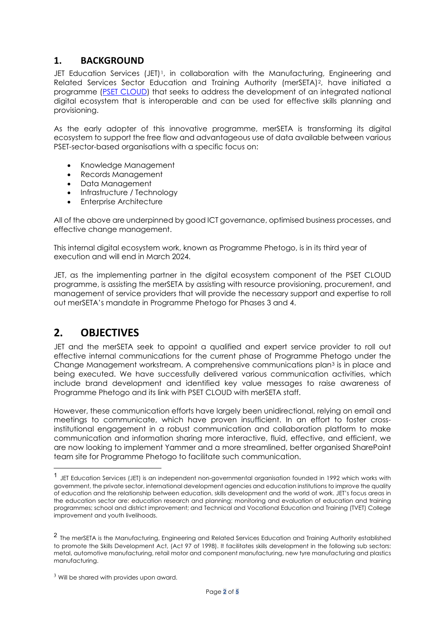### **1. BACKGROUND**

JET Education Services (JET)[1,](#page-1-0) in collaboration with the Manufacturing, Engineering and Related Services Sector Education and Training Authority (merSETA)[2](#page-1-1), have initiated a programme [\(PSET CLOUD\)](https://psetcloud.org.za/) that seeks to address the development of an integrated national digital ecosystem that is interoperable and can be used for effective skills planning and provisioning.

As the early adopter of this innovative programme, merSETA is transforming its digital ecosystem to support the free flow and advantageous use of data available between various PSET-sector-based organisations with a specific focus on:

- Knowledge Management
- Records Management
- Data Management
- Infrastructure / Technology
- Enterprise Architecture

All of the above are underpinned by good ICT governance, optimised business processes, and effective change management.

This internal digital ecosystem work, known as Programme Phetogo, is in its third year of execution and will end in March 2024.

JET, as the implementing partner in the digital ecosystem component of the PSET CLOUD programme, is assisting the merSETA by assisting with resource provisioning, procurement, and management of service providers that will provide the necessary support and expertise to roll out merSETA's mandate in Programme Phetogo for Phases 3 and 4.

# **2. OBJECTIVES**

JET and the merSETA seek to appoint a qualified and expert service provider to roll out effective internal communications for the current phase of Programme Phetogo under the Change Management workstream. A comprehensive communications plan[3](#page-1-2) is in place and being executed. We have successfully delivered various communication activities, which include brand development and identified key value messages to raise awareness of Programme Phetogo and its link with PSET CLOUD with merSETA staff.

However, these communication efforts have largely been unidirectional, relying on email and meetings to communicate, which have proven insufficient. In an effort to foster crossinstitutional engagement in a robust communication and collaboration platform to make communication and information sharing more interactive, fluid, effective, and efficient, we are now looking to implement Yammer and a more streamlined, better organised SharePoint team site for Programme Phetogo to facilitate such communication.

<span id="page-1-0"></span><sup>1</sup> JET Education Services (JET) is an independent non-governmental organisation founded in 1992 which works with government, the private sector, international development agencies and education institutions to improve the quality of education and the relationship between education, skills development and the world of work. JET's focus areas in the education sector are: education research and planning; monitoring and evaluation of education and training programmes; school and district improvement; and Technical and Vocational Education and Training (TVET) College improvement and youth livelihoods.

<span id="page-1-1"></span><sup>2</sup> The merSETA is the Manufacturing, Engineering and Related Services Education and Training Authority established to promote the Skills Development Act, (Act 97 of 1998). It facilitates skills development in the following sub sectors: metal, automotive manufacturing, retail motor and component manufacturing, new tyre manufacturing and plastics manufacturing.

<span id="page-1-2"></span><sup>&</sup>lt;sup>3</sup> Will be shared with provides upon award.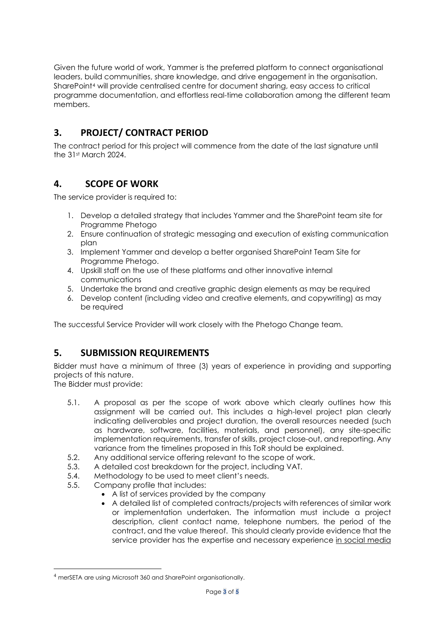Given the future world of work, Yammer is the preferred platform to connect organisational leaders, build communities, share knowledge, and drive engagement in the organisation. SharePoint[4](#page-2-0) will provide centralised centre for document sharing, easy access to critical programme documentation, and effortless real-time collaboration among the different team members.

# **3. PROJECT/ CONTRACT PERIOD**

The contract period for this project will commence from the date of the last signature until the 31st March 2024.

## **4. SCOPE OF WORK**

The service provider is required to:

- 1. Develop a detailed strategy that includes Yammer and the SharePoint team site for Programme Phetogo
- 2. Ensure continuation of strategic messaging and execution of existing communication plan
- 3. Implement Yammer and develop a better organised SharePoint Team Site for Programme Phetogo.
- 4. Upskill staff on the use of these platforms and other innovative internal communications
- 5. Undertake the brand and creative graphic design elements as may be required
- 6. Develop content (including video and creative elements, and copywriting) as may be required

The successful Service Provider will work closely with the Phetogo Change team.

## **5. SUBMISSION REQUIREMENTS**

Bidder must have a minimum of three (3) years of experience in providing and supporting projects of this nature.

The Bidder must provide:

- 5.1. A proposal as per the scope of work above which clearly outlines how this assignment will be carried out. This includes a high-level project plan clearly indicating deliverables and project duration, the overall resources needed (such as hardware, software, facilities, materials, and personnel), any site-specific implementation requirements, transfer of skills, project close-out, and reporting. Any variance from the timelines proposed in this ToR should be explained.
- 5.2. Any additional service offering relevant to the scope of work.
- 5.3. A detailed cost breakdown for the project, including VAT.
- 5.4. Methodology to be used to meet client's needs.
- 5.5. Company profile that includes:
	- A list of services provided by the company
	- A detailed list of completed contracts/projects with references of similar work or implementation undertaken. The information must include a project description, client contact name, telephone numbers, the period of the contract, and the value thereof. This should clearly provide evidence that the service provider has the expertise and necessary experience in social media

<span id="page-2-0"></span><sup>4</sup> merSETA are using Microsoft 360 and SharePoint organisationally.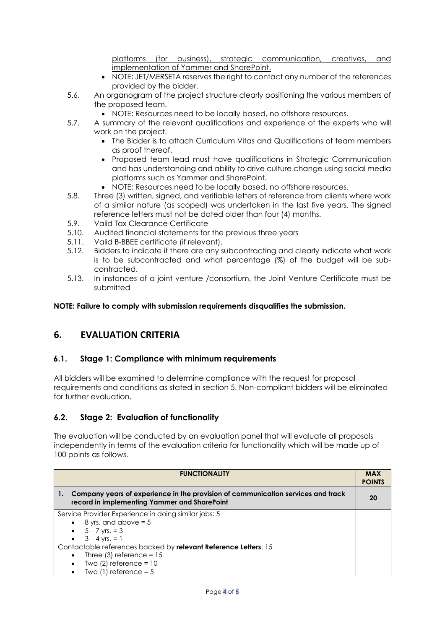platforms (for business), strategic communication, creatives, and implementation of Yammer and SharePoint.

- NOTE: JET/MERSETA reserves the right to contact any number of the references provided by the bidder.
- 5.6. An organogram of the project structure clearly positioning the various members of the proposed team.
	- NOTE: Resources need to be locally based, no offshore resources.
- 5.7. A summary of the relevant qualifications and experience of the experts who will work on the project.
	- The Bidder is to attach Curriculum Vitas and Qualifications of team members as proof thereof.
	- Proposed team lead must have qualifications in Strategic Communication and has understanding and ability to drive culture change using social media platforms such as Yammer and SharePoint.
	- NOTE: Resources need to be locally based, no offshore resources.
- 5.8. Three (3) written, signed, and verifiable letters of reference from clients where work of a similar nature (as scoped) was undertaken in the last five years. The signed reference letters must not be dated older than four (4) months.
- 5.9. Valid Tax Clearance Certificate
- 5.10. Audited financial statements for the previous three years
- 5.11. Valid B-BBEE certificate (if relevant).
- 5.12. Bidders to indicate if there are any subcontracting and clearly indicate what work is to be subcontracted and what percentage (%) of the budget will be subcontracted.
- 5.13. In instances of a joint venture /consortium, the Joint Venture Certificate must be submitted

**NOTE: Failure to comply with submission requirements disqualifies the submission.**

#### **6. EVALUATION CRITERIA**

#### **6.1. Stage 1: Compliance with minimum requirements**

All bidders will be examined to determine compliance with the request for proposal requirements and conditions as stated in section 5. Non-compliant bidders will be eliminated for further evaluation.

#### **6.2. Stage 2: Evaluation of functionality**

The evaluation will be conducted by an evaluation panel that will evaluate all proposals independently in terms of the evaluation criteria for functionality which will be made up of 100 points as follows.

| <b>FUNCTIONALITY</b>                                                                                                                   | <b>MAX</b><br><b>POINTS</b> |
|----------------------------------------------------------------------------------------------------------------------------------------|-----------------------------|
| Company years of experience in the provision of communication services and track<br>1.<br>record in implementing Yammer and SharePoint | 20                          |
| Service Provider Experience in doing similar jobs: 5                                                                                   |                             |
| $\bullet$ 8 yrs. and above = 5                                                                                                         |                             |
| • $5 - 7$ yrs. = 3                                                                                                                     |                             |
| • $3 - 4$ yrs. = 1                                                                                                                     |                             |
| Contactable references backed by relevant Reference Letters: 15                                                                        |                             |
| Three $(3)$ reference = 15<br>$\bullet$                                                                                                |                             |
| Two $(2)$ reference = 10<br>$\bullet$                                                                                                  |                             |
| Two $(1)$ reference = 5<br>$\bullet$                                                                                                   |                             |